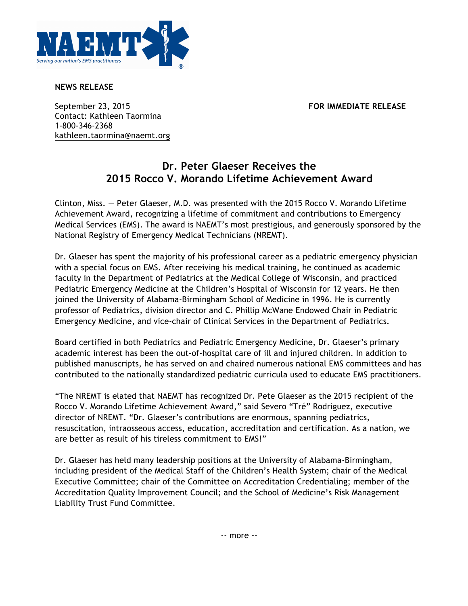

**NEWS RELEASE**

September 23, 2015 **FOR IMMEDIATE RELEASE** Contact: Kathleen Taormina 1-800-346-2368 kathleen.taormina@naemt.org

## **Dr. Peter Glaeser Receives the 2015 Rocco V. Morando Lifetime Achievement Award**

Clinton, Miss. — Peter Glaeser, M.D. was presented with the 2015 Rocco V. Morando Lifetime Achievement Award, recognizing a lifetime of commitment and contributions to Emergency Medical Services (EMS). The award is NAEMT's most prestigious, and generously sponsored by the National Registry of Emergency Medical Technicians (NREMT).

Dr. Glaeser has spent the majority of his professional career as a pediatric emergency physician with a special focus on EMS. After receiving his medical training, he continued as academic faculty in the Department of Pediatrics at the Medical College of Wisconsin, and practiced Pediatric Emergency Medicine at the Children's Hospital of Wisconsin for 12 years. He then joined the University of Alabama-Birmingham School of Medicine in 1996. He is currently professor of Pediatrics, division director and C. Phillip McWane Endowed Chair in Pediatric Emergency Medicine, and vice-chair of Clinical Services in the Department of Pediatrics.

Board certified in both Pediatrics and Pediatric Emergency Medicine, Dr. Glaeser's primary academic interest has been the out-of-hospital care of ill and injured children. In addition to published manuscripts, he has served on and chaired numerous national EMS committees and has contributed to the nationally standardized pediatric curricula used to educate EMS practitioners.

"The NREMT is elated that NAEMT has recognized Dr. Pete Glaeser as the 2015 recipient of the Rocco V. Morando Lifetime Achievement Award," said Severo "Tré" Rodriguez, executive director of NREMT. "Dr. Glaeser's contributions are enormous, spanning pediatrics, resuscitation, intraosseous access, education, accreditation and certification. As a nation, we are better as result of his tireless commitment to EMS!"

Dr. Glaeser has held many leadership positions at the University of Alabama-Birmingham, including president of the Medical Staff of the Children's Health System; chair of the Medical Executive Committee; chair of the Committee on Accreditation Credentialing; member of the Accreditation Quality Improvement Council; and the School of Medicine's Risk Management Liability Trust Fund Committee.

-- more --